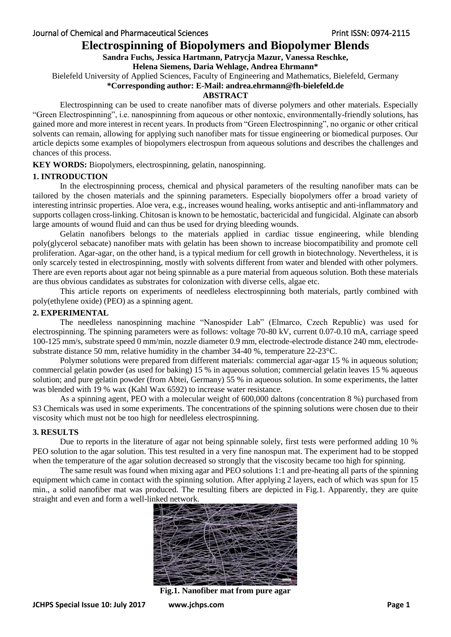# **Electrospinning of Biopolymers and Biopolymer Blends**

## **Sandra Fuchs, Jessica Hartmann, Patrycja Mazur, Vanessa Reschke,**

#### **Helena Siemens, Daria Wehlage, Andrea Ehrmann\***

Bielefeld University of Applied Sciences, Faculty of Engineering and Mathematics, Bielefeld, Germany

## **\*Corresponding author: E-Mail: andrea.ehrmann@fh-bielefeld.de**

#### **ABSTRACT**

Electrospinning can be used to create nanofiber mats of diverse polymers and other materials. Especially "Green Electrospinning", i.e. nanospinning from aqueous or other nontoxic, environmentally-friendly solutions, has gained more and more interest in recent years. In products from "Green Electrospinning", no organic or other critical solvents can remain, allowing for applying such nanofiber mats for tissue engineering or biomedical purposes. Our article depicts some examples of biopolymers electrospun from aqueous solutions and describes the challenges and chances of this process.

**KEY WORDS:** Biopolymers, electrospinning, gelatin, nanospinning.

# **1. INTRODUCTION**

In the electrospinning process, chemical and physical parameters of the resulting nanofiber mats can be tailored by the chosen materials and the spinning parameters. Especially biopolymers offer a broad variety of interesting intrinsic properties. Aloe vera, e.g., increases wound healing, works antiseptic and anti-inflammatory and supports collagen cross-linking. Chitosan is known to be hemostatic, bactericidal and fungicidal. Alginate can absorb large amounts of wound fluid and can thus be used for drying bleeding wounds.

Gelatin nanofibers belongs to the materials applied in cardiac tissue engineering, while blending poly(glycerol sebacate) nanofiber mats with gelatin has been shown to increase biocompatibility and promote cell proliferation. Agar-agar, on the other hand, is a typical medium for cell growth in biotechnology. Nevertheless, it is only scarcely tested in electrospinning, mostly with solvents different from water and blended with other polymers. There are even reports about agar not being spinnable as a pure material from aqueous solution. Both these materials are thus obvious candidates as substrates for colonization with diverse cells, algae etc.

This article reports on experiments of needleless electrospinning both materials, partly combined with poly(ethylene oxide) (PEO) as a spinning agent.

# **2. EXPERIMENTAL**

The needleless nanospinning machine "Nanospider Lab" (Elmarco, Czech Republic) was used for electrospinning. The spinning parameters were as follows: voltage 70-80 kV, current 0.07-0.10 mA, carriage speed 100-125 mm/s, substrate speed 0 mm/min, nozzle diameter 0.9 mm, electrode-electrode distance 240 mm, electrodesubstrate distance 50 mm, relative humidity in the chamber 34-40 %, temperature 22-23°C.

Polymer solutions were prepared from different materials: commercial agar-agar 15 % in aqueous solution; commercial gelatin powder (as used for baking) 15 % in aqueous solution; commercial gelatin leaves 15 % aqueous solution; and pure gelatin powder (from Abtei, Germany) 55 % in aqueous solution. In some experiments, the latter was blended with 19 % wax (Kahl Wax 6592) to increase water resistance.

As a spinning agent, PEO with a molecular weight of 600,000 daltons (concentration 8 %) purchased from S3 Chemicals was used in some experiments. The concentrations of the spinning solutions were chosen due to their viscosity which must not be too high for needleless electrospinning.

#### **3. RESULTS**

Due to reports in the literature of agar not being spinnable solely, first tests were performed adding 10 % PEO solution to the agar solution. This test resulted in a very fine nanospun mat. The experiment had to be stopped when the temperature of the agar solution decreased so strongly that the viscosity became too high for spinning.

The same result was found when mixing agar and PEO solutions 1:1 and pre-heating all parts of the spinning equipment which came in contact with the spinning solution. After applying 2 layers, each of which was spun for 15 min., a solid nanofiber mat was produced. The resulting fibers are depicted in Fig.1. Apparently, they are quite straight and even and form a well-linked network.



**Fig.1. Nanofiber mat from pure agar**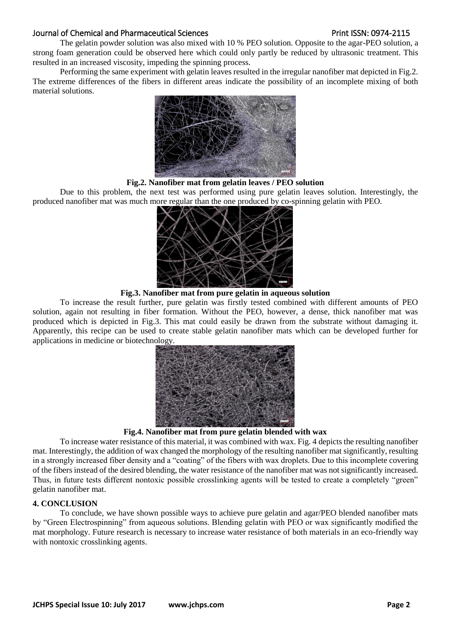## Journal of Chemical and Pharmaceutical Sciences **Print ISSN: 0974-2115** Print ISSN: 0974-2115

The gelatin powder solution was also mixed with 10 % PEO solution. Opposite to the agar-PEO solution, a strong foam generation could be observed here which could only partly be reduced by ultrasonic treatment. This resulted in an increased viscosity, impeding the spinning process.

Performing the same experiment with gelatin leaves resulted in the irregular nanofiber mat depicted in Fig.2. The extreme differences of the fibers in different areas indicate the possibility of an incomplete mixing of both material solutions.



#### **Fig.2. Nanofiber mat from gelatin leaves / PEO solution**

Due to this problem, the next test was performed using pure gelatin leaves solution. Interestingly, the produced nanofiber mat was much more regular than the one produced by co-spinning gelatin with PEO.



**Fig.3. Nanofiber mat from pure gelatin in aqueous solution**

To increase the result further, pure gelatin was firstly tested combined with different amounts of PEO solution, again not resulting in fiber formation. Without the PEO, however, a dense, thick nanofiber mat was produced which is depicted in Fig.3. This mat could easily be drawn from the substrate without damaging it. Apparently, this recipe can be used to create stable gelatin nanofiber mats which can be developed further for applications in medicine or biotechnology.



#### **Fig.4. Nanofiber mat from pure gelatin blended with wax**

To increase water resistance of this material, it was combined with wax. Fig. 4 depicts the resulting nanofiber mat. Interestingly, the addition of wax changed the morphology of the resulting nanofiber mat significantly, resulting in a strongly increased fiber density and a "coating" of the fibers with wax droplets. Due to this incomplete covering of the fibers instead of the desired blending, the water resistance of the nanofiber mat was not significantly increased. Thus, in future tests different nontoxic possible crosslinking agents will be tested to create a completely "green" gelatin nanofiber mat.

# **4. CONCLUSION**

To conclude, we have shown possible ways to achieve pure gelatin and agar/PEO blended nanofiber mats by "Green Electrospinning" from aqueous solutions. Blending gelatin with PEO or wax significantly modified the mat morphology. Future research is necessary to increase water resistance of both materials in an eco-friendly way with nontoxic crosslinking agents.